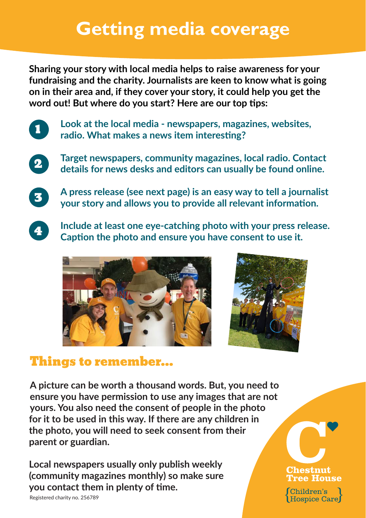# **Getting media coverage**

**Sharing your story with local media helps to raise awareness for your fundraising and the charity. Journalists are keen to know what is going on in their area and, if they cover your story, it could help you get the word out! But where do you start? Here are our top tips:**

1

**Look at the local media - newspapers, magazines, websites, radio. What makes a news item interesting?** 

2

3

**Target newspapers, community magazines, local radio. Contact details for news desks and editors can usually be found online.** 

**A press release (see next page) is an easy way to tell a journalist your story and allows you to provide all relevant information.**



**Include at least one eye-catching photo with your press release. Caption the photo and ensure you have consent to use it.**





#### Things to remember...

**A picture can be worth a thousand words. But, you need to ensure you have permission to use any images that are not yours. You also need the consent of people in the photo for it to be used in this way. If there are any children in the photo, you will need to seek consent from their parent or guardian.** 

**Local newspapers usually only publish weekly (community magazines monthly) so make sure you contact them in plenty of time.**

Registered charity no. 256789

# $\boldsymbol{\text{Chestant}}$ ree House

Children's Hospice Care